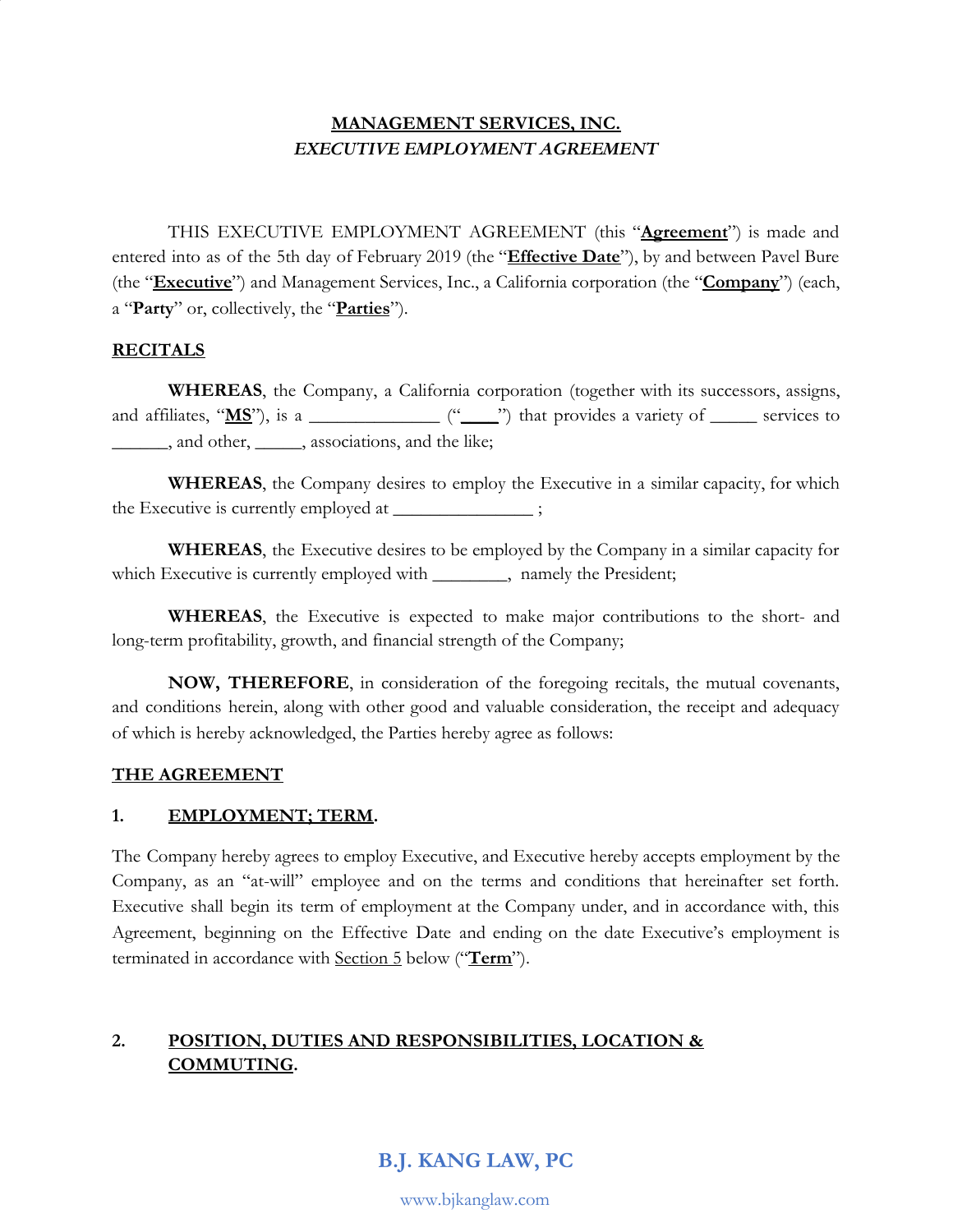# **MANAGEMENT SERVICES, INC.** *EXECUTIVE EMPLOYMENT AGREEMENT*

THIS EXECUTIVE EMPLOYMENT AGREEMENT (this "**Agreement**") is made and entered into as of the 5th day of February 2019 (the "**Effective Date**"), by and between Pavel Bure (the "**Executive**") and Management Services, Inc., a California corporation (the "**Company**") (each, a "**Party**" or, collectively, the "**Parties**").

## **RECITALS**

**WHEREAS**, the Company, a California corporation (together with its successors, assigns, and affiliates, "MS"), is a \_\_\_\_\_\_\_\_\_\_\_\_ ("\_\_\_\_") that provides a variety of \_\_\_\_\_ services to \_\_\_\_\_\_, and other, \_\_\_\_\_, associations, and the like;

**WHEREAS**, the Company desires to employ the Executive in a similar capacity, for which the Executive is currently employed at \_\_\_\_\_\_\_\_\_\_\_\_\_\_\_\_\_\_\_\_;

**WHEREAS**, the Executive desires to be employed by the Company in a similar capacity for which Executive is currently employed with \_\_\_\_\_\_\_, namely the President;

**WHEREAS**, the Executive is expected to make major contributions to the short- and long-term profitability, growth, and financial strength of the Company;

**NOW, THEREFORE**, in consideration of the foregoing recitals, the mutual covenants, and conditions herein, along with other good and valuable consideration, the receipt and adequacy of which is hereby acknowledged, the Parties hereby agree as follows:

## **THE AGREEMENT**

## **1. EMPLOYMENT; TERM.**

The Company hereby agrees to employ Executive, and Executive hereby accepts employment by the Company, as an "at-will" employee and on the terms and conditions that hereinafter set forth. Executive shall begin its term of employment at the Company under, and in accordance with, this Agreement, beginning on the Effective Date and ending on the date Executive's employment is terminated in accordance with Section 5 below ("**Term**").

# **2. POSITION, DUTIES AND RESPONSIBILITIES, LOCATION & COMMUTING.**

# **B.J. KANG LAW, PC**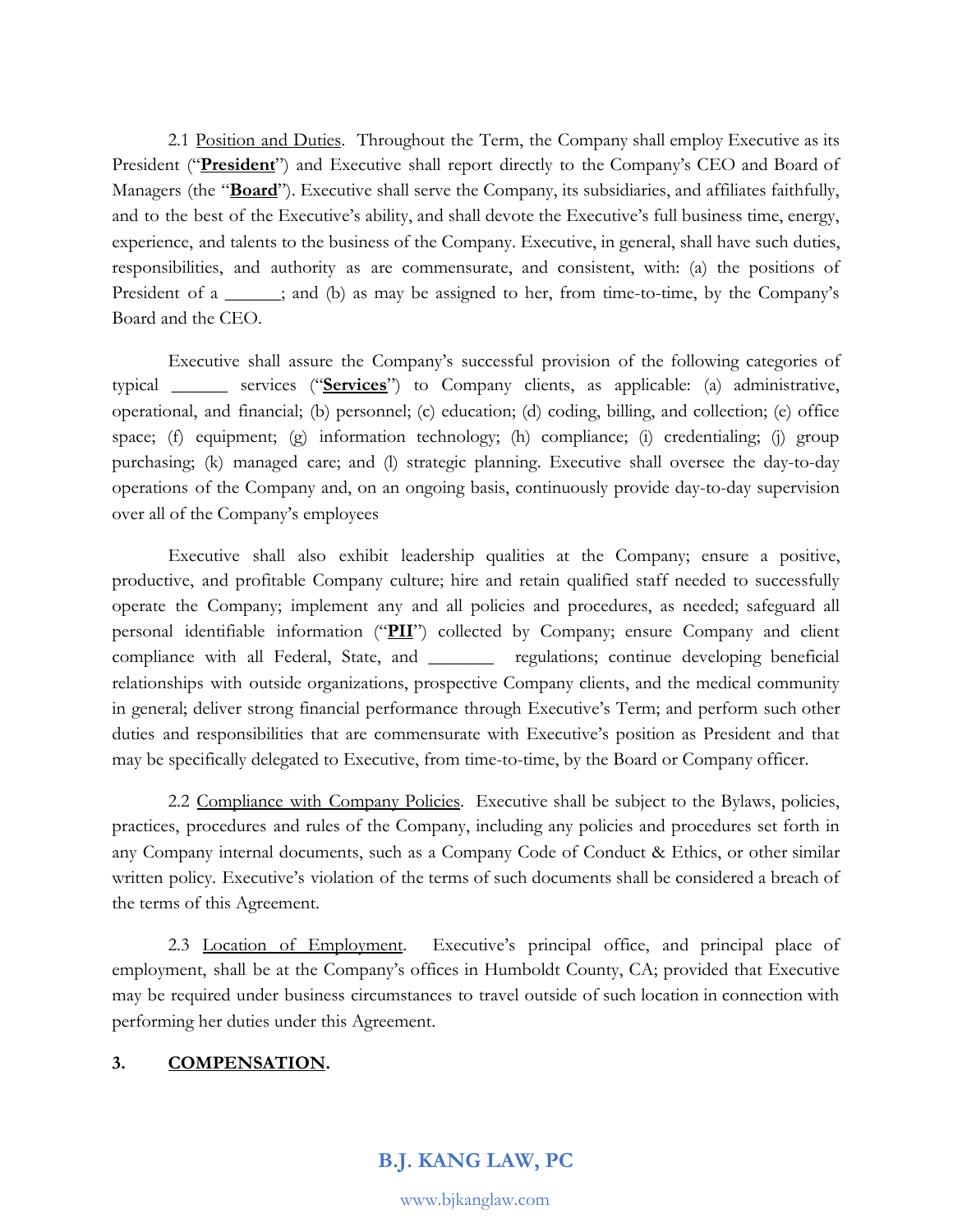2.1 Position and Duties. Throughout the Term, the Company shall employ Executive as its President ("**President**") and Executive shall report directly to the Company's CEO and Board of Managers (the "**Board**"). Executive shall serve the Company, its subsidiaries, and affiliates faithfully, and to the best of the Executive's ability, and shall devote the Executive's full business time, energy, experience, and talents to the business of the Company. Executive, in general, shall have such duties, responsibilities, and authority as are commensurate, and consistent, with: (a) the positions of President of a \_\_\_\_\_; and (b) as may be assigned to her, from time-to-time, by the Company's Board and the CEO.

Executive shall assure the Company's successful provision of the following categories of typical \_\_\_\_\_\_ services ("**Services**") to Company clients, as applicable: (a) administrative, operational, and financial; (b) personnel; (c) education; (d) coding, billing, and collection; (e) office space; (f) equipment; (g) information technology; (h) compliance; (i) credentialing; (j) group purchasing; (k) managed care; and (l) strategic planning. Executive shall oversee the day-to-day operations of the Company and, on an ongoing basis, continuously provide day-to-day supervision over all of the Company's employees

Executive shall also exhibit leadership qualities at the Company; ensure a positive, productive, and profitable Company culture; hire and retain qualified staff needed to successfully operate the Company; implement any and all policies and procedures, as needed; safeguard all personal identifiable information ("**PII**") collected by Company; ensure Company and client compliance with all Federal, State, and \_\_\_\_\_\_\_ regulations; continue developing beneficial relationships with outside organizations, prospective Company clients, and the medical community in general; deliver strong financial performance through Executive's Term; and perform such other duties and responsibilities that are commensurate with Executive's position as President and that may be specifically delegated to Executive, from time-to-time, by the Board or Company officer.

2.2 Compliance with Company Policies. Executive shall be subject to the Bylaws, policies, practices, procedures and rules of the Company, including any policies and procedures set forth in any Company internal documents, such as a Company Code of Conduct & Ethics, or other similar written policy. Executive's violation of the terms of such documents shall be considered a breach of the terms of this Agreement.

2.3 Location of Employment. Executive's principal office, and principal place of employment, shall be at the Company's offices in Humboldt County, CA; provided that Executive may be required under business circumstances to travel outside of such location in connection with performing her duties under this Agreement.

#### **3. COMPENSATION.**

# **B.J. KANG LAW, PC** www.bjkanglaw.com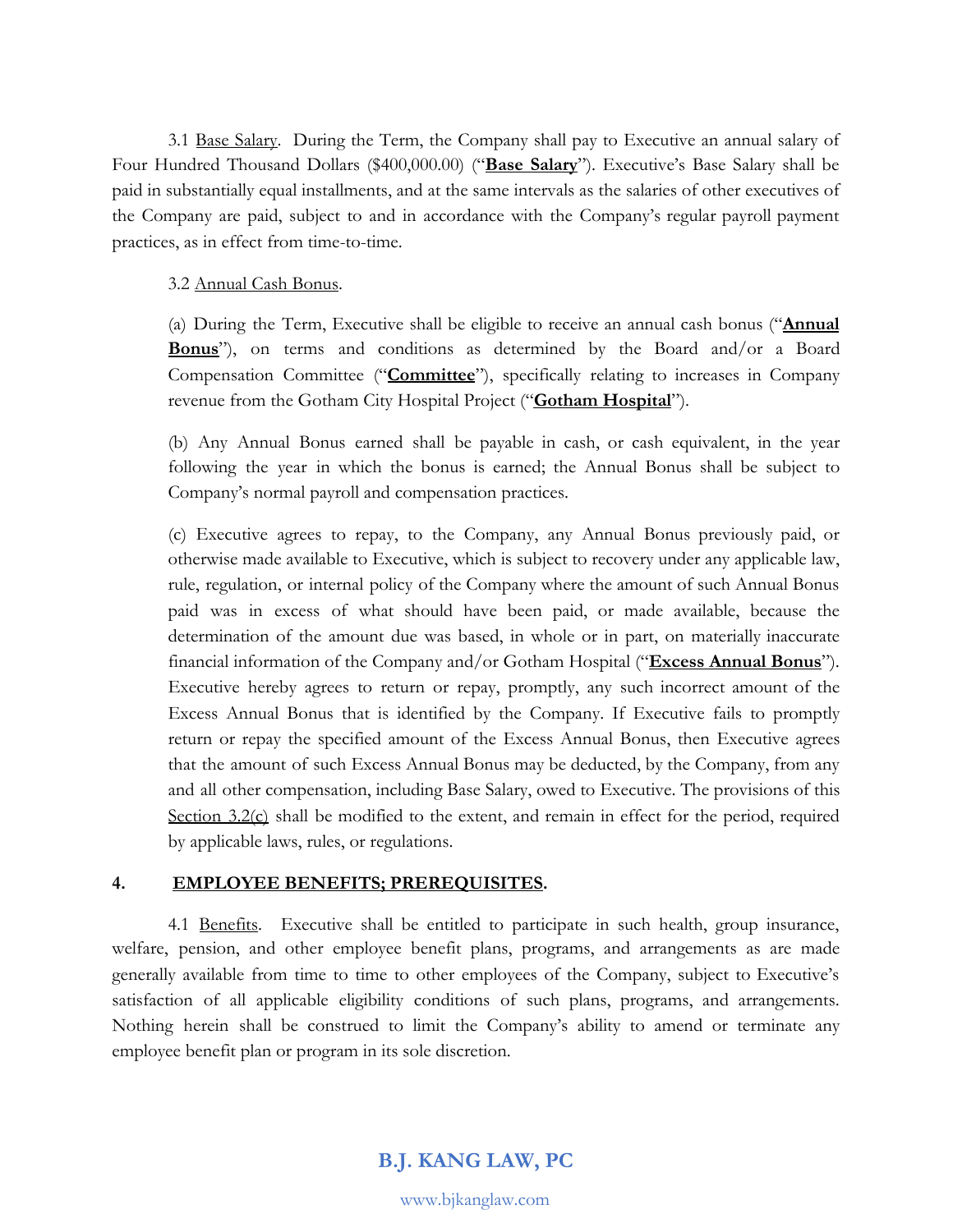3.1 Base Salary. During the Term, the Company shall pay to Executive an annual salary of Four Hundred Thousand Dollars (\$400,000.00) ("**Base Salary**"). Executive's Base Salary shall be paid in substantially equal installments, and at the same intervals as the salaries of other executives of the Company are paid, subject to and in accordance with the Company's regular payroll payment practices, as in effect from time-to-time.

#### 3.2 Annual Cash Bonus.

(a) During the Term, Executive shall be eligible to receive an annual cash bonus ("**Annual Bonus**"), on terms and conditions as determined by the Board and/or a Board Compensation Committee ("**Committee**"), specifically relating to increases in Company revenue from the Gotham City Hospital Project ("**Gotham Hospital**").

(b) Any Annual Bonus earned shall be payable in cash, or cash equivalent, in the year following the year in which the bonus is earned; the Annual Bonus shall be subject to Company's normal payroll and compensation practices.

(c) Executive agrees to repay, to the Company, any Annual Bonus previously paid, or otherwise made available to Executive, which is subject to recovery under any applicable law, rule, regulation, or internal policy of the Company where the amount of such Annual Bonus paid was in excess of what should have been paid, or made available, because the determination of the amount due was based, in whole or in part, on materially inaccurate financial information of the Company and/or Gotham Hospital ("**Excess Annual Bonus**"). Executive hereby agrees to return or repay, promptly, any such incorrect amount of the Excess Annual Bonus that is identified by the Company. If Executive fails to promptly return or repay the specified amount of the Excess Annual Bonus, then Executive agrees that the amount of such Excess Annual Bonus may be deducted, by the Company, from any and all other compensation, including Base Salary, owed to Executive. The provisions of this Section 3.2(c) shall be modified to the extent, and remain in effect for the period, required by applicable laws, rules, or regulations.

#### **4. EMPLOYEE BENEFITS; PREREQUISITES.**

4.1 Benefits. Executive shall be entitled to participate in such health, group insurance, welfare, pension, and other employee benefit plans, programs, and arrangements as are made generally available from time to time to other employees of the Company, subject to Executive's satisfaction of all applicable eligibility conditions of such plans, programs, and arrangements. Nothing herein shall be construed to limit the Company's ability to amend or terminate any employee benefit plan or program in its sole discretion.

# **B.J. KANG LAW, PC**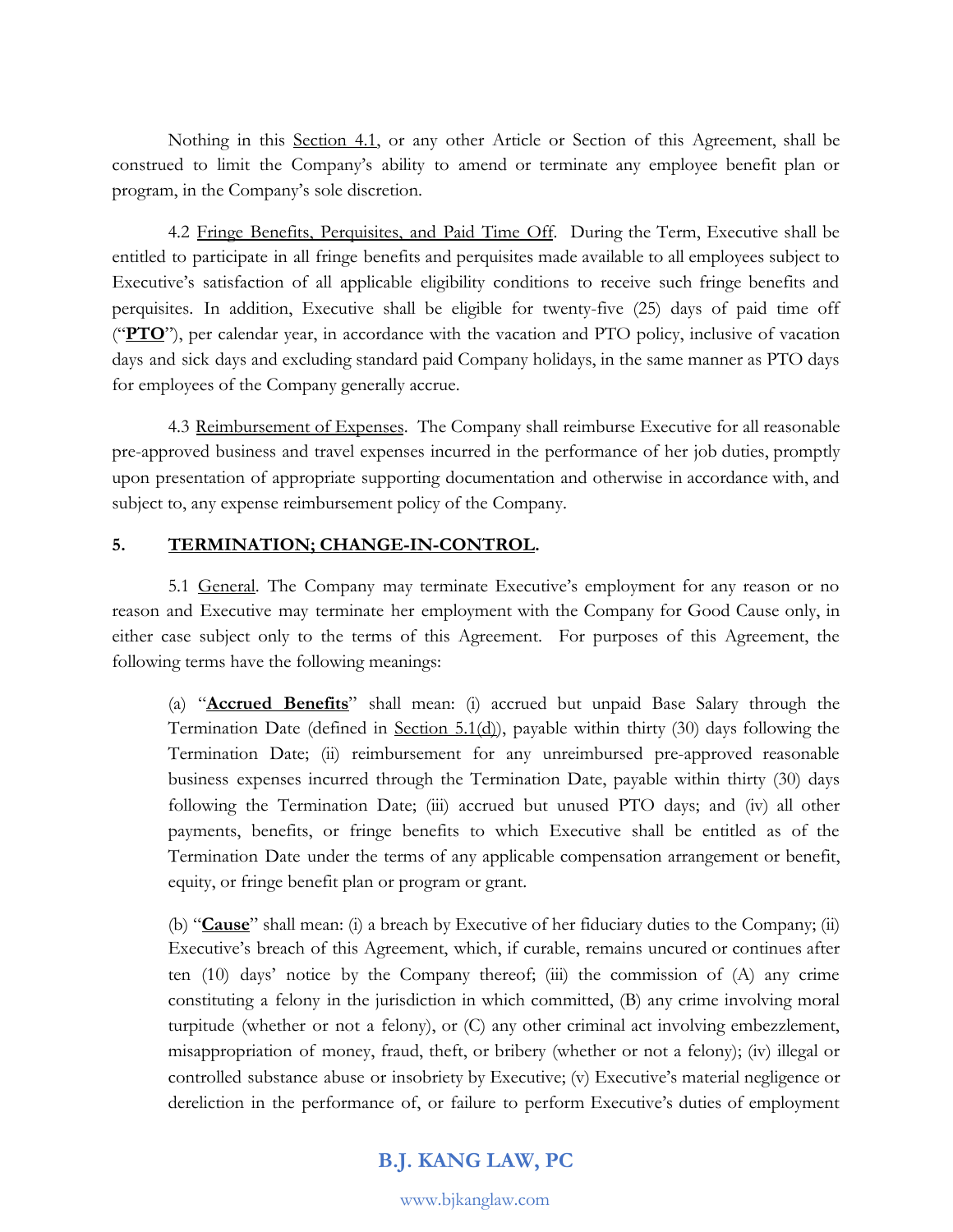Nothing in this Section 4.1, or any other Article or Section of this Agreement, shall be construed to limit the Company's ability to amend or terminate any employee benefit plan or program, in the Company's sole discretion.

4.2 Fringe Benefits, Perquisites, and Paid Time Off. During the Term, Executive shall be entitled to participate in all fringe benefits and perquisites made available to all employees subject to Executive's satisfaction of all applicable eligibility conditions to receive such fringe benefits and perquisites. In addition, Executive shall be eligible for twenty-five (25) days of paid time off ("**PTO**"), per calendar year, in accordance with the vacation and PTO policy, inclusive of vacation days and sick days and excluding standard paid Company holidays, in the same manner as PTO days for employees of the Company generally accrue.

4.3 Reimbursement of Expenses. The Company shall reimburse Executive for all reasonable pre-approved business and travel expenses incurred in the performance of her job duties, promptly upon presentation of appropriate supporting documentation and otherwise in accordance with, and subject to, any expense reimbursement policy of the Company.

#### **5. TERMINATION; CHANGE-IN-CONTROL.**

5.1 General. The Company may terminate Executive's employment for any reason or no reason and Executive may terminate her employment with the Company for Good Cause only, in either case subject only to the terms of this Agreement. For purposes of this Agreement, the following terms have the following meanings:

(a) "**Accrued Benefits**" shall mean: (i) accrued but unpaid Base Salary through the Termination Date (defined in Section  $5.1(d)$ ), payable within thirty (30) days following the Termination Date; (ii) reimbursement for any unreimbursed pre-approved reasonable business expenses incurred through the Termination Date, payable within thirty (30) days following the Termination Date; (iii) accrued but unused PTO days; and (iv) all other payments, benefits, or fringe benefits to which Executive shall be entitled as of the Termination Date under the terms of any applicable compensation arrangement or benefit, equity, or fringe benefit plan or program or grant.

(b) "**Cause**" shall mean: (i) a breach by Executive of her fiduciary duties to the Company; (ii) Executive's breach of this Agreement, which, if curable, remains uncured or continues after ten (10) days' notice by the Company thereof; (iii) the commission of (A) any crime constituting a felony in the jurisdiction in which committed, (B) any crime involving moral turpitude (whether or not a felony), or (C) any other criminal act involving embezzlement, misappropriation of money, fraud, theft, or bribery (whether or not a felony); (iv) illegal or controlled substance abuse or insobriety by Executive; (v) Executive's material negligence or dereliction in the performance of, or failure to perform Executive's duties of employment

## **B.J. KANG LAW, PC**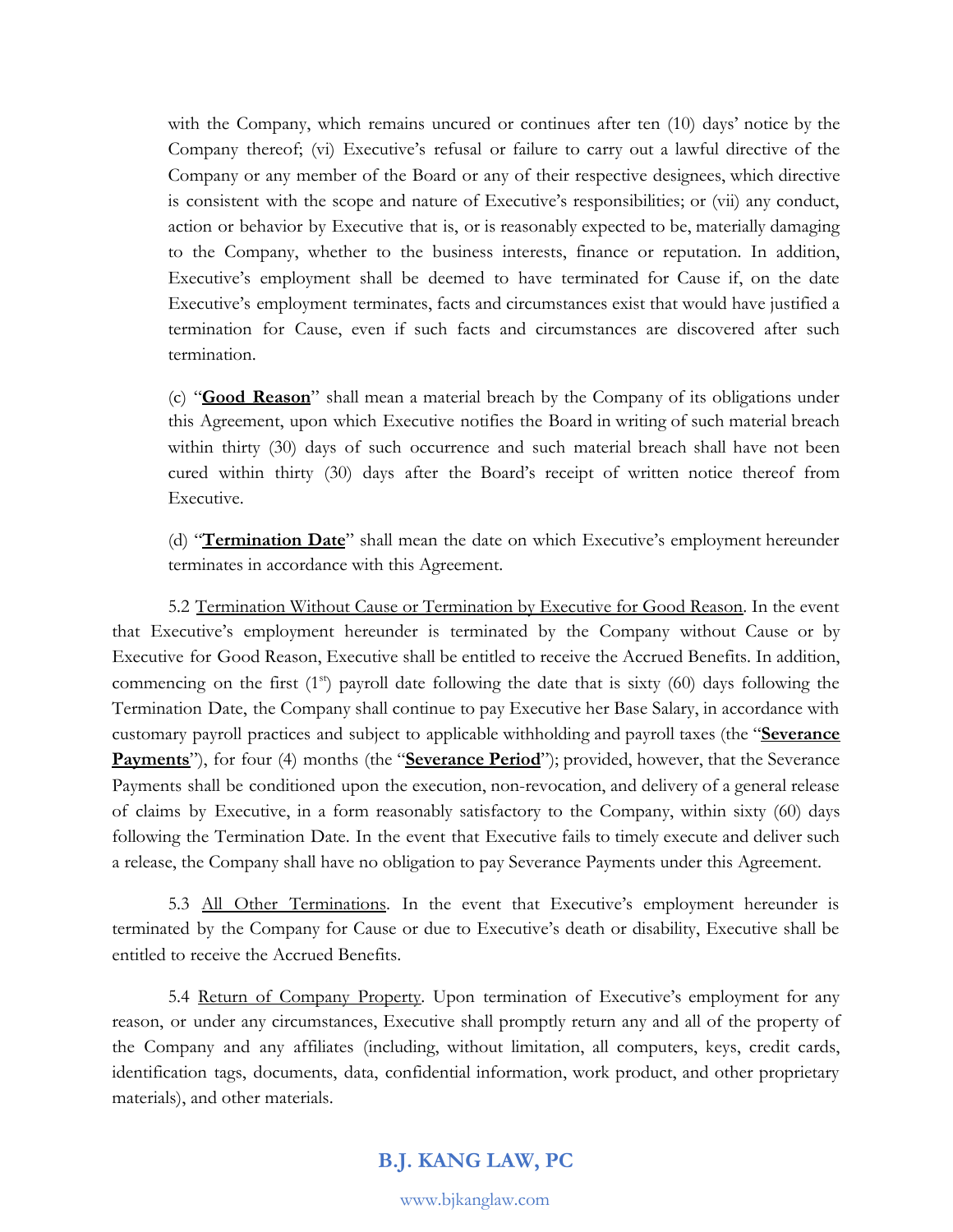with the Company, which remains uncured or continues after ten (10) days' notice by the Company thereof; (vi) Executive's refusal or failure to carry out a lawful directive of the Company or any member of the Board or any of their respective designees, which directive is consistent with the scope and nature of Executive's responsibilities; or (vii) any conduct, action or behavior by Executive that is, or is reasonably expected to be, materially damaging to the Company, whether to the business interests, finance or reputation. In addition, Executive's employment shall be deemed to have terminated for Cause if, on the date Executive's employment terminates, facts and circumstances exist that would have justified a termination for Cause, even if such facts and circumstances are discovered after such termination.

(c) "**Good Reason**" shall mean a material breach by the Company of its obligations under this Agreement, upon which Executive notifies the Board in writing of such material breach within thirty (30) days of such occurrence and such material breach shall have not been cured within thirty (30) days after the Board's receipt of written notice thereof from Executive.

(d) "**Termination Date**" shall mean the date on which Executive's employment hereunder terminates in accordance with this Agreement.

5.2 Termination Without Cause or Termination by Executive for Good Reason. In the event that Executive's employment hereunder is terminated by the Company without Cause or by Executive for Good Reason, Executive shall be entitled to receive the Accrued Benefits. In addition, commencing on the first  $(1<sup>st</sup>)$  payroll date following the date that is sixty  $(60)$  days following the Termination Date, the Company shall continue to pay Executive her Base Salary, in accordance with customary payroll practices and subject to applicable withholding and payroll taxes (the "**Severance Payments**"), for four (4) months (the "**Severance Period**"); provided, however, that the Severance Payments shall be conditioned upon the execution, non-revocation, and delivery of a general release of claims by Executive, in a form reasonably satisfactory to the Company, within sixty (60) days following the Termination Date. In the event that Executive fails to timely execute and deliver such a release, the Company shall have no obligation to pay Severance Payments under this Agreement.

5.3 All Other Terminations. In the event that Executive's employment hereunder is terminated by the Company for Cause or due to Executive's death or disability, Executive shall be entitled to receive the Accrued Benefits.

5.4 Return of Company Property. Upon termination of Executive's employment for any reason, or under any circumstances, Executive shall promptly return any and all of the property of the Company and any affiliates (including, without limitation, all computers, keys, credit cards, identification tags, documents, data, confidential information, work product, and other proprietary materials), and other materials.

## **B.J. KANG LAW, PC**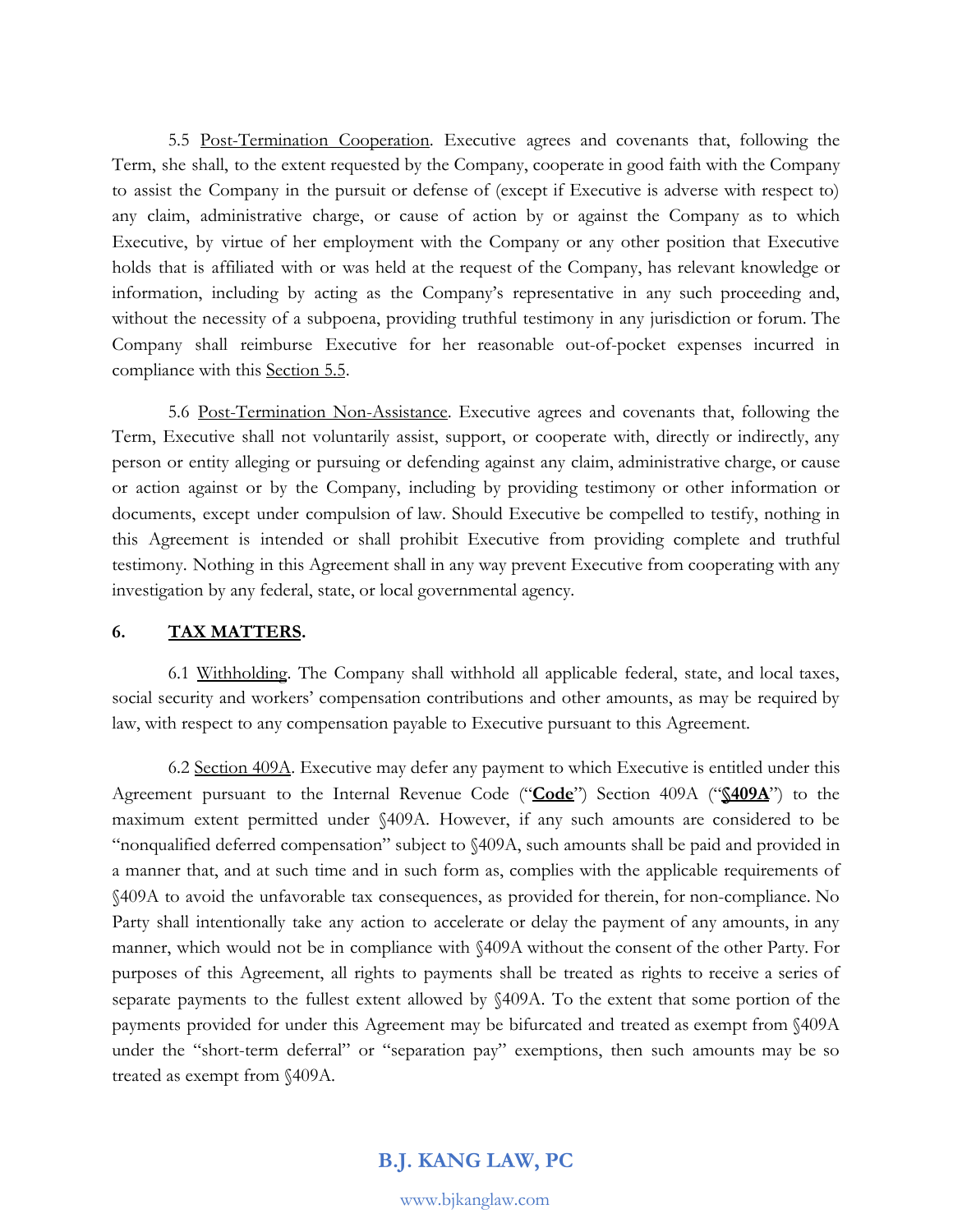5.5 Post-Termination Cooperation. Executive agrees and covenants that, following the Term, she shall, to the extent requested by the Company, cooperate in good faith with the Company to assist the Company in the pursuit or defense of (except if Executive is adverse with respect to) any claim, administrative charge, or cause of action by or against the Company as to which Executive, by virtue of her employment with the Company or any other position that Executive holds that is affiliated with or was held at the request of the Company, has relevant knowledge or information, including by acting as the Company's representative in any such proceeding and, without the necessity of a subpoena, providing truthful testimony in any jurisdiction or forum. The Company shall reimburse Executive for her reasonable out-of-pocket expenses incurred in compliance with this Section 5.5.

5.6 Post-Termination Non-Assistance. Executive agrees and covenants that, following the Term, Executive shall not voluntarily assist, support, or cooperate with, directly or indirectly, any person or entity alleging or pursuing or defending against any claim, administrative charge, or cause or action against or by the Company, including by providing testimony or other information or documents, except under compulsion of law. Should Executive be compelled to testify, nothing in this Agreement is intended or shall prohibit Executive from providing complete and truthful testimony. Nothing in this Agreement shall in any way prevent Executive from cooperating with any investigation by any federal, state, or local governmental agency.

#### **6. TAX MATTERS.**

6.1 Withholding. The Company shall withhold all applicable federal, state, and local taxes, social security and workers' compensation contributions and other amounts, as may be required by law, with respect to any compensation payable to Executive pursuant to this Agreement.

6.2 Section 409A. Executive may defer any payment to which Executive is entitled under this Agreement pursuant to the Internal Revenue Code ("**Code**") Section 409A ("**§409A**") to the maximum extent permitted under §409A. However, if any such amounts are considered to be "nonqualified deferred compensation" subject to §409A, such amounts shall be paid and provided in a manner that, and at such time and in such form as, complies with the applicable requirements of §409A to avoid the unfavorable tax consequences, as provided for therein, for non-compliance. No Party shall intentionally take any action to accelerate or delay the payment of any amounts, in any manner, which would not be in compliance with §409A without the consent of the other Party. For purposes of this Agreement, all rights to payments shall be treated as rights to receive a series of separate payments to the fullest extent allowed by §409A. To the extent that some portion of the payments provided for under this Agreement may be bifurcated and treated as exempt from §409A under the "short-term deferral" or "separation pay" exemptions, then such amounts may be so treated as exempt from §409A.

## **B.J. KANG LAW, PC**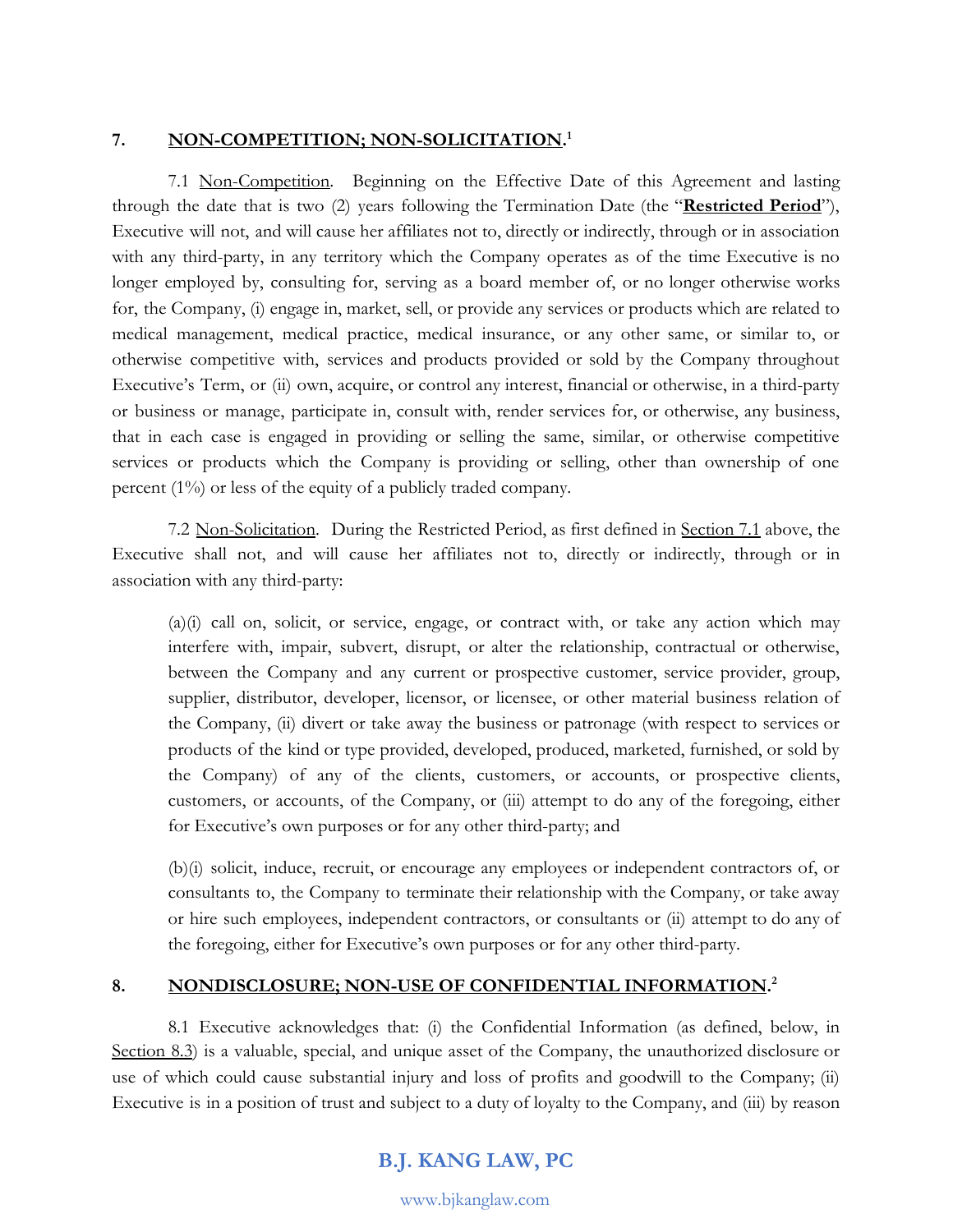## **7. NON-COMPETITION; NON-SOLICITATION. 1**

7.1 Non-Competition. Beginning on the Effective Date of this Agreement and lasting through the date that is two (2) years following the Termination Date (the "**Restricted Period**"), Executive will not, and will cause her affiliates not to, directly or indirectly, through or in association with any third-party, in any territory which the Company operates as of the time Executive is no longer employed by, consulting for, serving as a board member of, or no longer otherwise works for, the Company, (i) engage in, market, sell, or provide any services or products which are related to medical management, medical practice, medical insurance, or any other same, or similar to, or otherwise competitive with, services and products provided or sold by the Company throughout Executive's Term, or (ii) own, acquire, or control any interest, financial or otherwise, in a third-party or business or manage, participate in, consult with, render services for, or otherwise, any business, that in each case is engaged in providing or selling the same, similar, or otherwise competitive services or products which the Company is providing or selling, other than ownership of one percent (1%) or less of the equity of a publicly traded company.

7.2 Non-Solicitation. During the Restricted Period, as first defined in Section 7.1 above, the Executive shall not, and will cause her affiliates not to, directly or indirectly, through or in association with any third-party:

(a)(i) call on, solicit, or service, engage, or contract with, or take any action which may interfere with, impair, subvert, disrupt, or alter the relationship, contractual or otherwise, between the Company and any current or prospective customer, service provider, group, supplier, distributor, developer, licensor, or licensee, or other material business relation of the Company, (ii) divert or take away the business or patronage (with respect to services or products of the kind or type provided, developed, produced, marketed, furnished, or sold by the Company) of any of the clients, customers, or accounts, or prospective clients, customers, or accounts, of the Company, or (iii) attempt to do any of the foregoing, either for Executive's own purposes or for any other third-party; and

(b)(i) solicit, induce, recruit, or encourage any employees or independent contractors of, or consultants to, the Company to terminate their relationship with the Company, or take away or hire such employees, independent contractors, or consultants or (ii) attempt to do any of the foregoing, either for Executive's own purposes or for any other third-party.

## **8. NONDISCLOSURE; NON-USE OF CONFIDENTIAL INFORMATION. 2**

8.1 Executive acknowledges that: (i) the Confidential Information (as defined, below, in Section 8.3) is a valuable, special, and unique asset of the Company, the unauthorized disclosure or use of which could cause substantial injury and loss of profits and goodwill to the Company; (ii) Executive is in a position of trust and subject to a duty of loyalty to the Company, and (iii) by reason

# **B.J. KANG LAW, PC**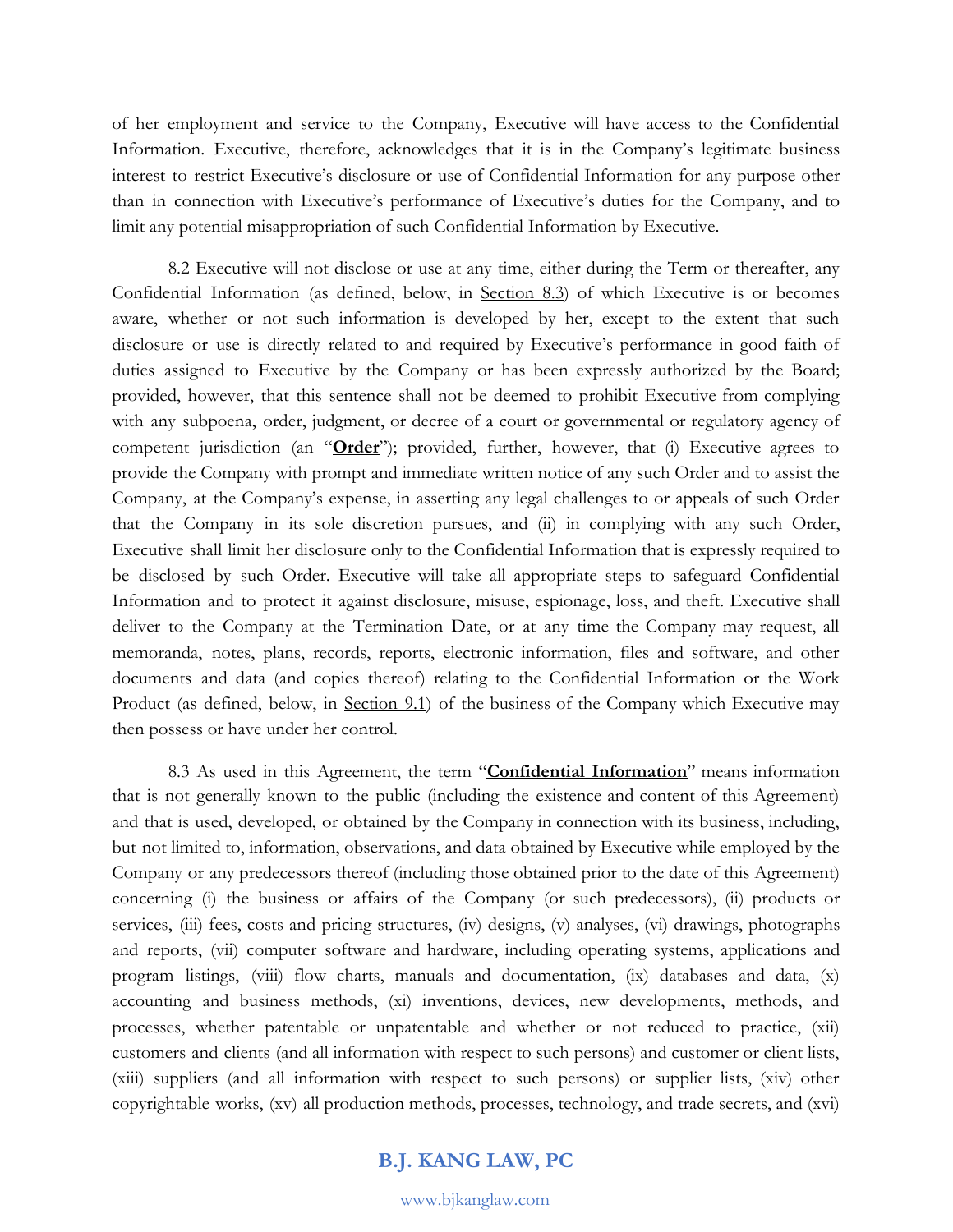of her employment and service to the Company, Executive will have access to the Confidential Information. Executive, therefore, acknowledges that it is in the Company's legitimate business interest to restrict Executive's disclosure or use of Confidential Information for any purpose other than in connection with Executive's performance of Executive's duties for the Company, and to limit any potential misappropriation of such Confidential Information by Executive.

8.2 Executive will not disclose or use at any time, either during the Term or thereafter, any Confidential Information (as defined, below, in Section 8.3) of which Executive is or becomes aware, whether or not such information is developed by her, except to the extent that such disclosure or use is directly related to and required by Executive's performance in good faith of duties assigned to Executive by the Company or has been expressly authorized by the Board; provided, however, that this sentence shall not be deemed to prohibit Executive from complying with any subpoena, order, judgment, or decree of a court or governmental or regulatory agency of competent jurisdiction (an "**Order**"); provided, further, however, that (i) Executive agrees to provide the Company with prompt and immediate written notice of any such Order and to assist the Company, at the Company's expense, in asserting any legal challenges to or appeals of such Order that the Company in its sole discretion pursues, and (ii) in complying with any such Order, Executive shall limit her disclosure only to the Confidential Information that is expressly required to be disclosed by such Order. Executive will take all appropriate steps to safeguard Confidential Information and to protect it against disclosure, misuse, espionage, loss, and theft. Executive shall deliver to the Company at the Termination Date, or at any time the Company may request, all memoranda, notes, plans, records, reports, electronic information, files and software, and other documents and data (and copies thereof) relating to the Confidential Information or the Work Product (as defined, below, in Section 9.1) of the business of the Company which Executive may then possess or have under her control.

8.3 As used in this Agreement, the term "**Confidential Information**" means information that is not generally known to the public (including the existence and content of this Agreement) and that is used, developed, or obtained by the Company in connection with its business, including, but not limited to, information, observations, and data obtained by Executive while employed by the Company or any predecessors thereof (including those obtained prior to the date of this Agreement) concerning (i) the business or affairs of the Company (or such predecessors), (ii) products or services, (iii) fees, costs and pricing structures, (iv) designs, (v) analyses, (vi) drawings, photographs and reports, (vii) computer software and hardware, including operating systems, applications and program listings, (viii) flow charts, manuals and documentation, (ix) databases and data, (x) accounting and business methods, (xi) inventions, devices, new developments, methods, and processes, whether patentable or unpatentable and whether or not reduced to practice, (xii) customers and clients (and all information with respect to such persons) and customer or client lists, (xiii) suppliers (and all information with respect to such persons) or supplier lists, (xiv) other copyrightable works, (xv) all production methods, processes, technology, and trade secrets, and (xvi)

## **B.J. KANG LAW, PC**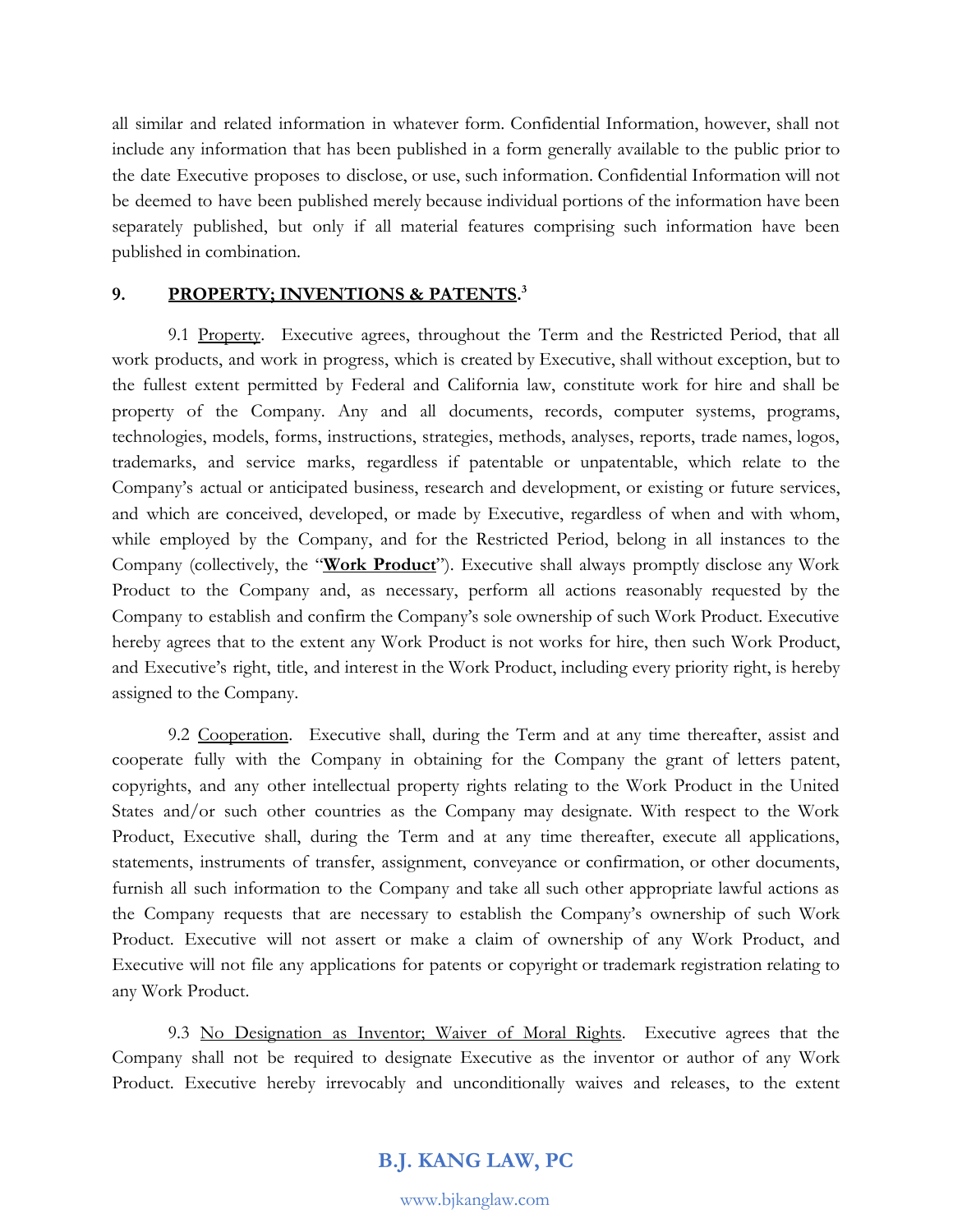all similar and related information in whatever form. Confidential Information, however, shall not include any information that has been published in a form generally available to the public prior to the date Executive proposes to disclose, or use, such information. Confidential Information will not be deemed to have been published merely because individual portions of the information have been separately published, but only if all material features comprising such information have been published in combination.

### **9. PROPERTY; INVENTIONS & PATENTS. 3**

9.1 Property. Executive agrees, throughout the Term and the Restricted Period, that all work products, and work in progress, which is created by Executive, shall without exception, but to the fullest extent permitted by Federal and California law, constitute work for hire and shall be property of the Company. Any and all documents, records, computer systems, programs, technologies, models, forms, instructions, strategies, methods, analyses, reports, trade names, logos, trademarks, and service marks, regardless if patentable or unpatentable, which relate to the Company's actual or anticipated business, research and development, or existing or future services, and which are conceived, developed, or made by Executive, regardless of when and with whom, while employed by the Company, and for the Restricted Period, belong in all instances to the Company (collectively, the "**Work Product**"). Executive shall always promptly disclose any Work Product to the Company and, as necessary, perform all actions reasonably requested by the Company to establish and confirm the Company's sole ownership of such Work Product. Executive hereby agrees that to the extent any Work Product is not works for hire, then such Work Product, and Executive's right, title, and interest in the Work Product, including every priority right, is hereby assigned to the Company.

9.2 Cooperation. Executive shall, during the Term and at any time thereafter, assist and cooperate fully with the Company in obtaining for the Company the grant of letters patent, copyrights, and any other intellectual property rights relating to the Work Product in the United States and/or such other countries as the Company may designate. With respect to the Work Product, Executive shall, during the Term and at any time thereafter, execute all applications, statements, instruments of transfer, assignment, conveyance or confirmation, or other documents, furnish all such information to the Company and take all such other appropriate lawful actions as the Company requests that are necessary to establish the Company's ownership of such Work Product. Executive will not assert or make a claim of ownership of any Work Product, and Executive will not file any applications for patents or copyright or trademark registration relating to any Work Product.

9.3 No Designation as Inventor; Waiver of Moral Rights. Executive agrees that the Company shall not be required to designate Executive as the inventor or author of any Work Product. Executive hereby irrevocably and unconditionally waives and releases, to the extent

# **B.J. KANG LAW, PC**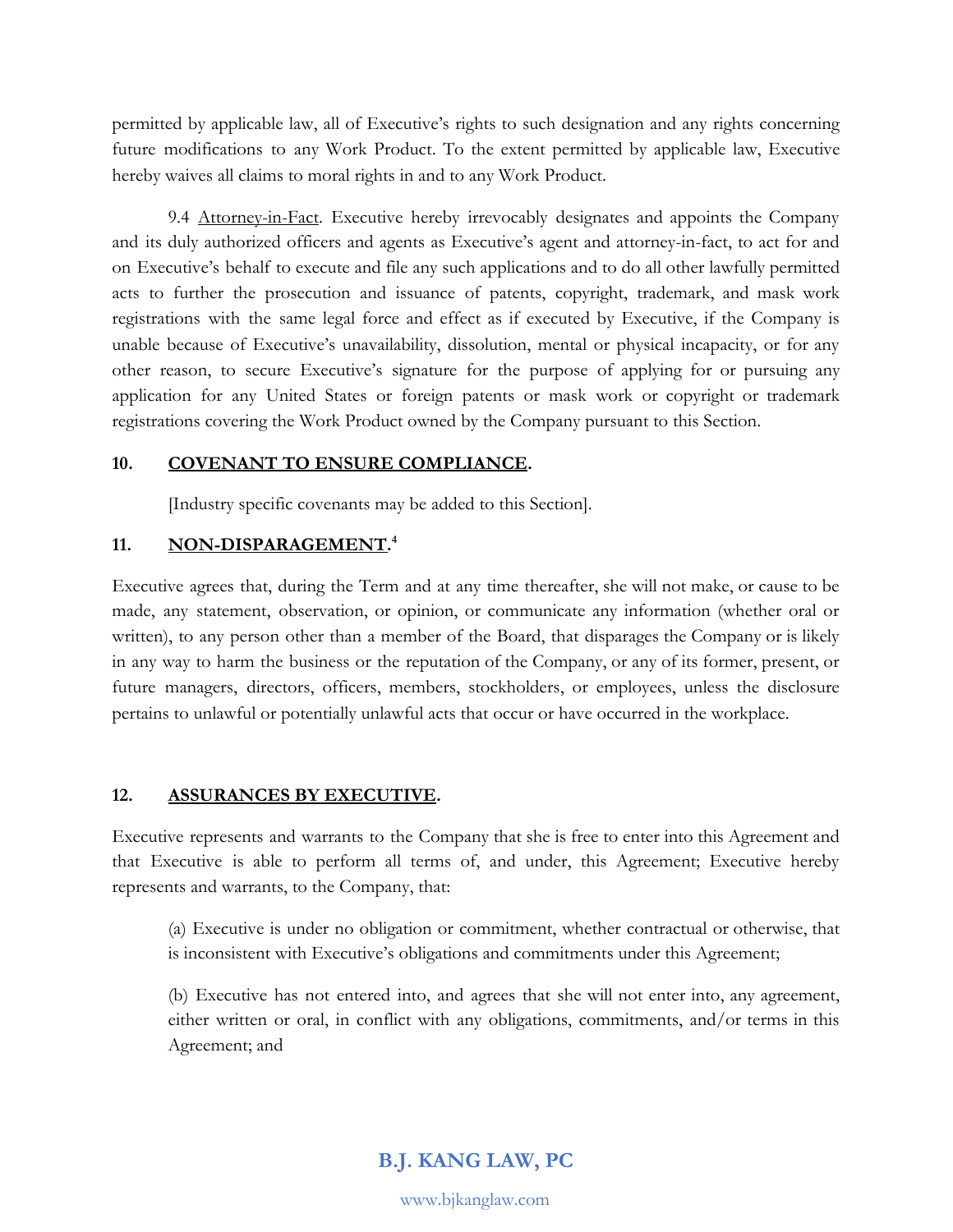permitted by applicable law, all of Executive's rights to such designation and any rights concerning future modifications to any Work Product. To the extent permitted by applicable law, Executive hereby waives all claims to moral rights in and to any Work Product.

9.4 Attorney-in-Fact. Executive hereby irrevocably designates and appoints the Company and its duly authorized officers and agents as Executive's agent and attorney-in-fact, to act for and on Executive's behalf to execute and file any such applications and to do all other lawfully permitted acts to further the prosecution and issuance of patents, copyright, trademark, and mask work registrations with the same legal force and effect as if executed by Executive, if the Company is unable because of Executive's unavailability, dissolution, mental or physical incapacity, or for any other reason, to secure Executive's signature for the purpose of applying for or pursuing any application for any United States or foreign patents or mask work or copyright or trademark registrations covering the Work Product owned by the Company pursuant to this Section.

#### **10. COVENANT TO ENSURE COMPLIANCE.**

[Industry specific covenants may be added to this Section].

#### **11. NON-DISPARAGEMENT. 4**

Executive agrees that, during the Term and at any time thereafter, she will not make, or cause to be made, any statement, observation, or opinion, or communicate any information (whether oral or written), to any person other than a member of the Board, that disparages the Company or is likely in any way to harm the business or the reputation of the Company, or any of its former, present, or future managers, directors, officers, members, stockholders, or employees, unless the disclosure pertains to unlawful or potentially unlawful acts that occur or have occurred in the workplace.

## **12. ASSURANCES BY EXECUTIVE.**

Executive represents and warrants to the Company that she is free to enter into this Agreement and that Executive is able to perform all terms of, and under, this Agreement; Executive hereby represents and warrants, to the Company, that:

(a) Executive is under no obligation or commitment, whether contractual or otherwise, that is inconsistent with Executive's obligations and commitments under this Agreement;

(b) Executive has not entered into, and agrees that she will not enter into, any agreement, either written or oral, in conflict with any obligations, commitments, and/or terms in this Agreement; and

# **B.J. KANG LAW, PC**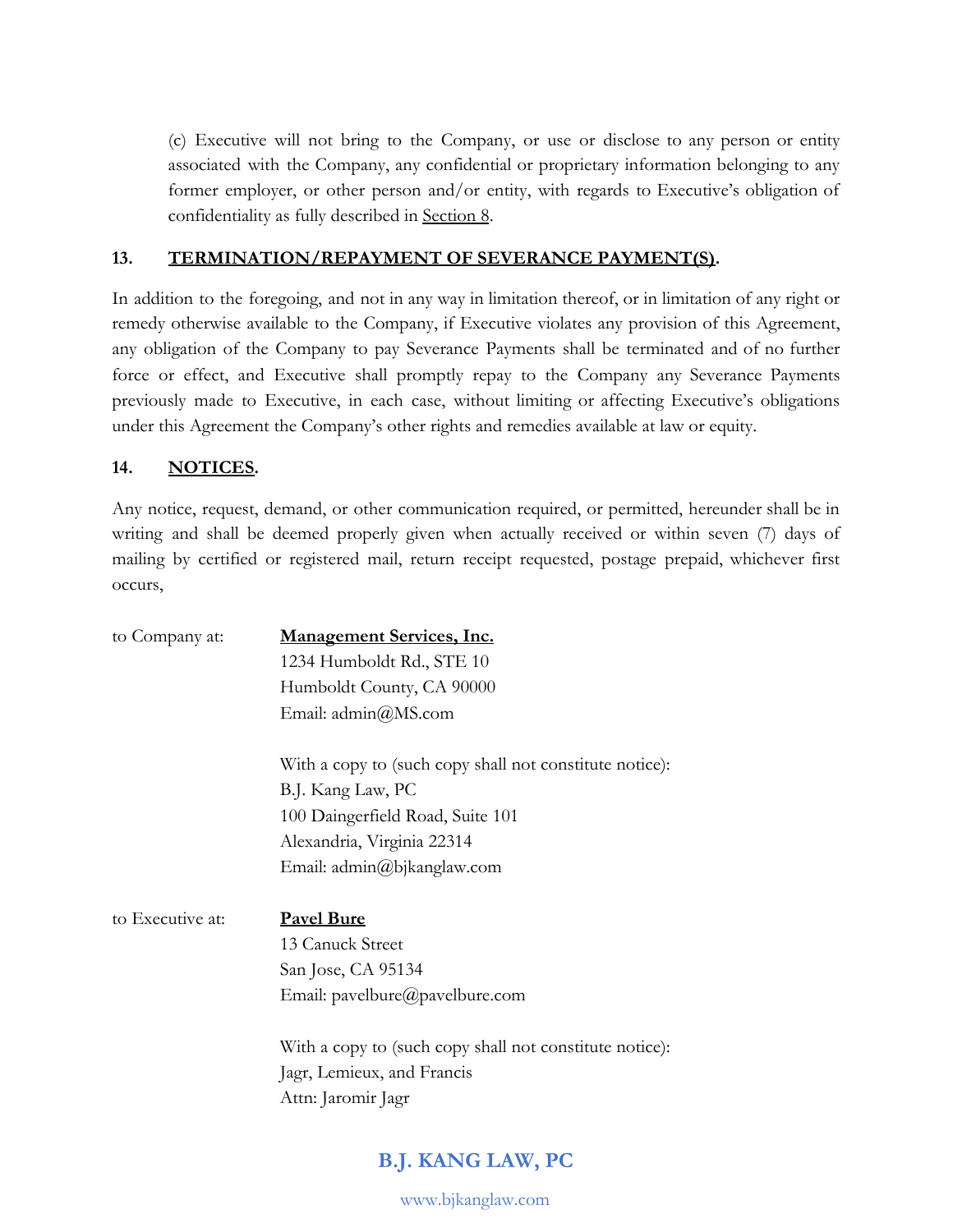(c) Executive will not bring to the Company, or use or disclose to any person or entity associated with the Company, any confidential or proprietary information belonging to any former employer, or other person and/or entity, with regards to Executive's obligation of confidentiality as fully described in Section 8.

### **13. TERMINATION/REPAYMENT OF SEVERANCE PAYMENT(S).**

In addition to the foregoing, and not in any way in limitation thereof, or in limitation of any right or remedy otherwise available to the Company, if Executive violates any provision of this Agreement, any obligation of the Company to pay Severance Payments shall be terminated and of no further force or effect, and Executive shall promptly repay to the Company any Severance Payments previously made to Executive, in each case, without limiting or affecting Executive's obligations under this Agreement the Company's other rights and remedies available at law or equity.

## **14. NOTICES.**

Any notice, request, demand, or other communication required, or permitted, hereunder shall be in writing and shall be deemed properly given when actually received or within seven (7) days of mailing by certified or registered mail, return receipt requested, postage prepaid, whichever first occurs,

| to Company at:   | <b>Management Services, Inc.</b><br>1234 Humboldt Rd., STE 10 |  |
|------------------|---------------------------------------------------------------|--|
|                  |                                                               |  |
|                  | Humboldt County, CA 90000                                     |  |
|                  | Email: admin@MS.com                                           |  |
|                  | With a copy to (such copy shall not constitute notice):       |  |
|                  | B.J. Kang Law, PC                                             |  |
|                  | 100 Daingerfield Road, Suite 101                              |  |
|                  | Alexandria, Virginia 22314                                    |  |
|                  | Email: admin@bjkanglaw.com                                    |  |
| to Executive at: | <b>Pavel Bure</b>                                             |  |
|                  | 13 Canuck Street                                              |  |
|                  | San Jose, CA 95134                                            |  |
|                  | Email: pavelbure@pavelbure.com                                |  |
|                  | With a copy to (such copy shall not constitute notice):       |  |
|                  | Jagr, Lemieux, and Francis                                    |  |
|                  | Attn: Jaromir Jagr                                            |  |

# **B.J. KANG LAW, PC**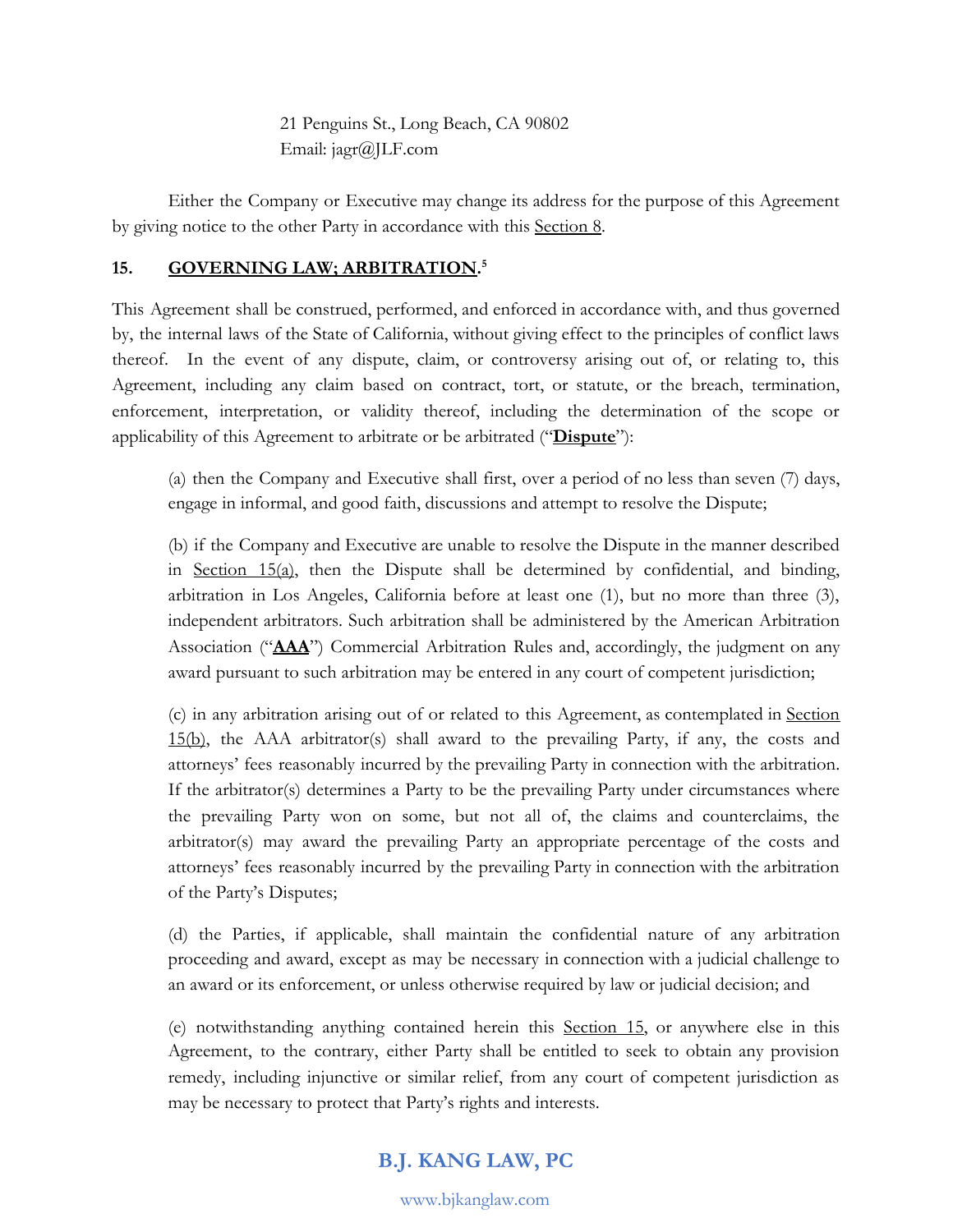21 Penguins St., Long Beach, CA 90802 Email: jagr@JLF.com

Either the Company or Executive may change its address for the purpose of this Agreement by giving notice to the other Party in accordance with this Section 8.

## **15. GOVERNING LAW; ARBITRATION. 5**

This Agreement shall be construed, performed, and enforced in accordance with, and thus governed by, the internal laws of the State of California, without giving effect to the principles of conflict laws thereof. In the event of any dispute, claim, or controversy arising out of, or relating to, this Agreement, including any claim based on contract, tort, or statute, or the breach, termination, enforcement, interpretation, or validity thereof, including the determination of the scope or applicability of this Agreement to arbitrate or be arbitrated ("**Dispute**"):

(a) then the Company and Executive shall first, over a period of no less than seven (7) days, engage in informal, and good faith, discussions and attempt to resolve the Dispute;

(b) if the Company and Executive are unable to resolve the Dispute in the manner described in Section 15(a), then the Dispute shall be determined by confidential, and binding, arbitration in Los Angeles, California before at least one (1), but no more than three (3), independent arbitrators. Such arbitration shall be administered by the American Arbitration Association ("**AAA**") Commercial Arbitration Rules and, accordingly, the judgment on any award pursuant to such arbitration may be entered in any court of competent jurisdiction;

(c) in any arbitration arising out of or related to this Agreement, as contemplated in Section 15(b), the AAA arbitrator(s) shall award to the prevailing Party, if any, the costs and attorneys' fees reasonably incurred by the prevailing Party in connection with the arbitration. If the arbitrator(s) determines a Party to be the prevailing Party under circumstances where the prevailing Party won on some, but not all of, the claims and counterclaims, the arbitrator(s) may award the prevailing Party an appropriate percentage of the costs and attorneys' fees reasonably incurred by the prevailing Party in connection with the arbitration of the Party's Disputes;

(d) the Parties, if applicable, shall maintain the confidential nature of any arbitration proceeding and award, except as may be necessary in connection with a judicial challenge to an award or its enforcement, or unless otherwise required by law or judicial decision; and

(e) notwithstanding anything contained herein this Section 15, or anywhere else in this Agreement, to the contrary, either Party shall be entitled to seek to obtain any provision remedy, including injunctive or similar relief, from any court of competent jurisdiction as may be necessary to protect that Party's rights and interests.

# **B.J. KANG LAW, PC**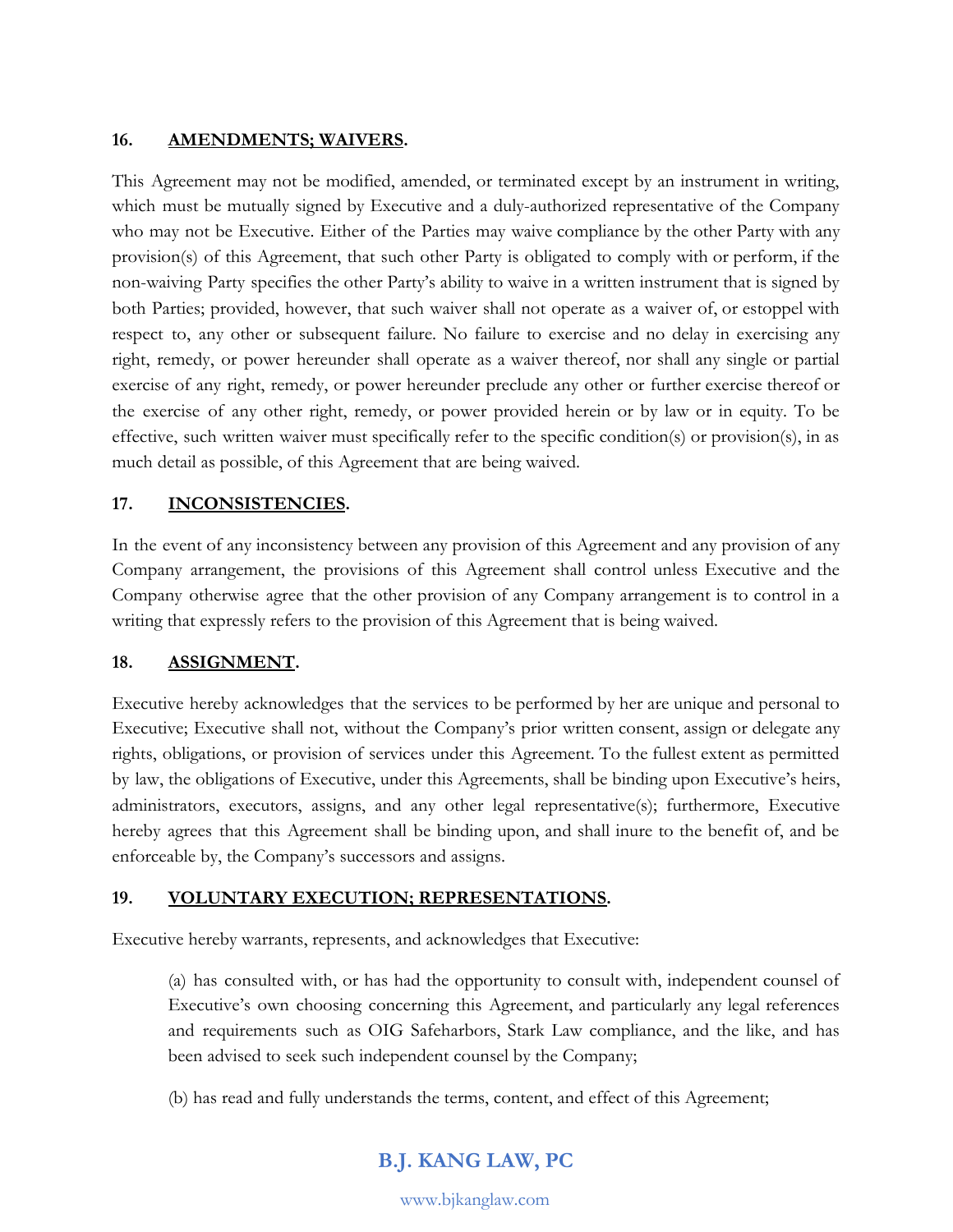## **16. AMENDMENTS; WAIVERS.**

This Agreement may not be modified, amended, or terminated except by an instrument in writing, which must be mutually signed by Executive and a duly-authorized representative of the Company who may not be Executive. Either of the Parties may waive compliance by the other Party with any provision(s) of this Agreement, that such other Party is obligated to comply with or perform, if the non-waiving Party specifies the other Party's ability to waive in a written instrument that is signed by both Parties; provided, however, that such waiver shall not operate as a waiver of, or estoppel with respect to, any other or subsequent failure. No failure to exercise and no delay in exercising any right, remedy, or power hereunder shall operate as a waiver thereof, nor shall any single or partial exercise of any right, remedy, or power hereunder preclude any other or further exercise thereof or the exercise of any other right, remedy, or power provided herein or by law or in equity. To be effective, such written waiver must specifically refer to the specific condition(s) or provision(s), in as much detail as possible, of this Agreement that are being waived.

## **17. INCONSISTENCIES.**

In the event of any inconsistency between any provision of this Agreement and any provision of any Company arrangement, the provisions of this Agreement shall control unless Executive and the Company otherwise agree that the other provision of any Company arrangement is to control in a writing that expressly refers to the provision of this Agreement that is being waived.

## **18. ASSIGNMENT.**

Executive hereby acknowledges that the services to be performed by her are unique and personal to Executive; Executive shall not, without the Company's prior written consent, assign or delegate any rights, obligations, or provision of services under this Agreement. To the fullest extent as permitted by law, the obligations of Executive, under this Agreements, shall be binding upon Executive's heirs, administrators, executors, assigns, and any other legal representative(s); furthermore, Executive hereby agrees that this Agreement shall be binding upon, and shall inure to the benefit of, and be enforceable by, the Company's successors and assigns.

## **19. VOLUNTARY EXECUTION; REPRESENTATIONS.**

Executive hereby warrants, represents, and acknowledges that Executive:

(a) has consulted with, or has had the opportunity to consult with, independent counsel of Executive's own choosing concerning this Agreement, and particularly any legal references and requirements such as OIG Safeharbors, Stark Law compliance, and the like, and has been advised to seek such independent counsel by the Company;

(b) has read and fully understands the terms, content, and effect of this Agreement;

# **B.J. KANG LAW, PC**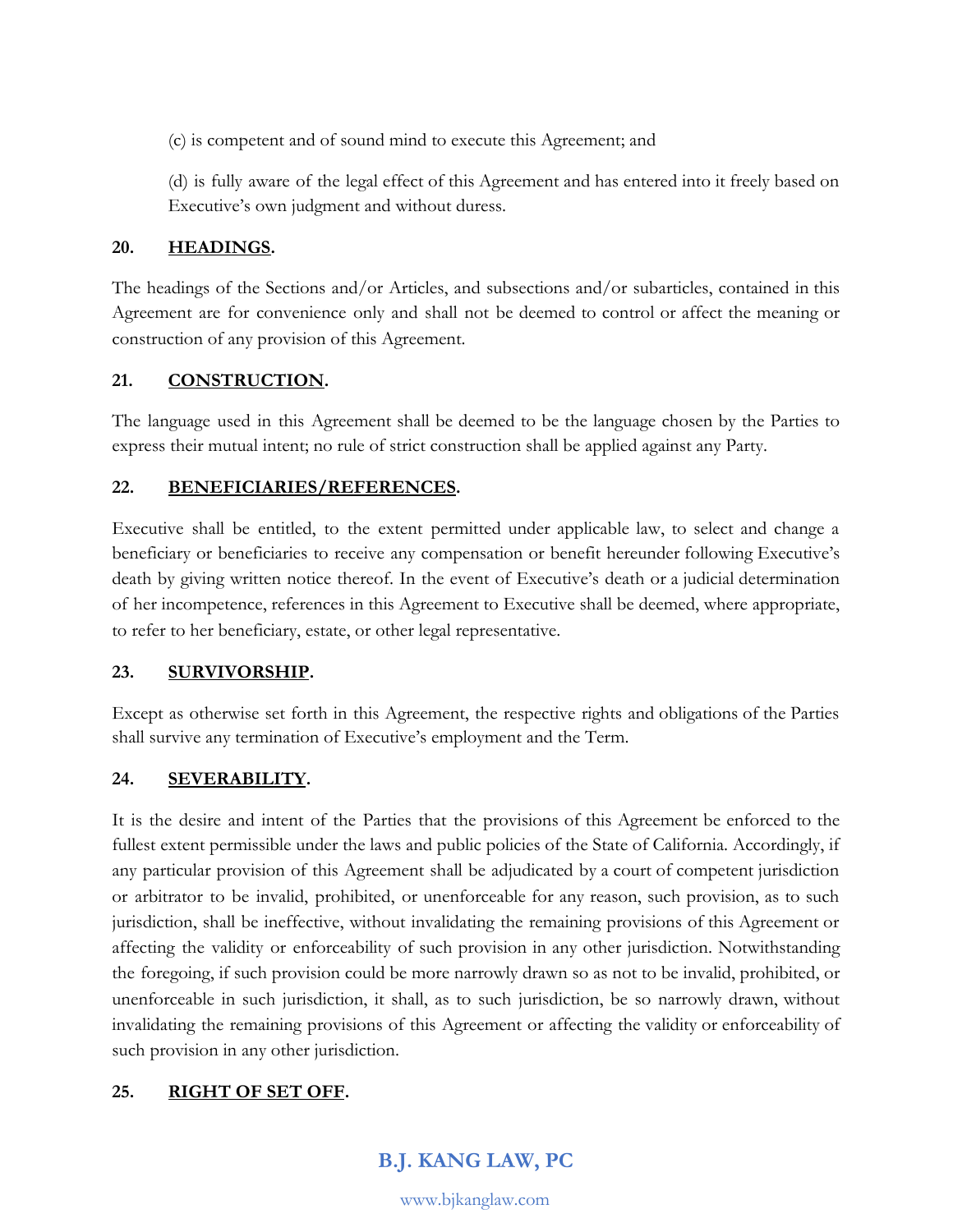(c) is competent and of sound mind to execute this Agreement; and

(d) is fully aware of the legal effect of this Agreement and has entered into it freely based on Executive's own judgment and without duress.

## **20. HEADINGS.**

The headings of the Sections and/or Articles, and subsections and/or subarticles, contained in this Agreement are for convenience only and shall not be deemed to control or affect the meaning or construction of any provision of this Agreement.

## **21. CONSTRUCTION.**

The language used in this Agreement shall be deemed to be the language chosen by the Parties to express their mutual intent; no rule of strict construction shall be applied against any Party.

## **22. BENEFICIARIES/REFERENCES.**

Executive shall be entitled, to the extent permitted under applicable law, to select and change a beneficiary or beneficiaries to receive any compensation or benefit hereunder following Executive's death by giving written notice thereof. In the event of Executive's death or a judicial determination of her incompetence, references in this Agreement to Executive shall be deemed, where appropriate, to refer to her beneficiary, estate, or other legal representative.

## **23. SURVIVORSHIP.**

Except as otherwise set forth in this Agreement, the respective rights and obligations of the Parties shall survive any termination of Executive's employment and the Term.

## **24. SEVERABILITY.**

It is the desire and intent of the Parties that the provisions of this Agreement be enforced to the fullest extent permissible under the laws and public policies of the State of California. Accordingly, if any particular provision of this Agreement shall be adjudicated by a court of competent jurisdiction or arbitrator to be invalid, prohibited, or unenforceable for any reason, such provision, as to such jurisdiction, shall be ineffective, without invalidating the remaining provisions of this Agreement or affecting the validity or enforceability of such provision in any other jurisdiction. Notwithstanding the foregoing, if such provision could be more narrowly drawn so as not to be invalid, prohibited, or unenforceable in such jurisdiction, it shall, as to such jurisdiction, be so narrowly drawn, without invalidating the remaining provisions of this Agreement or affecting the validity or enforceability of such provision in any other jurisdiction.

## **25. RIGHT OF SET OFF.**

**B.J. KANG LAW, PC** www.bjkanglaw.com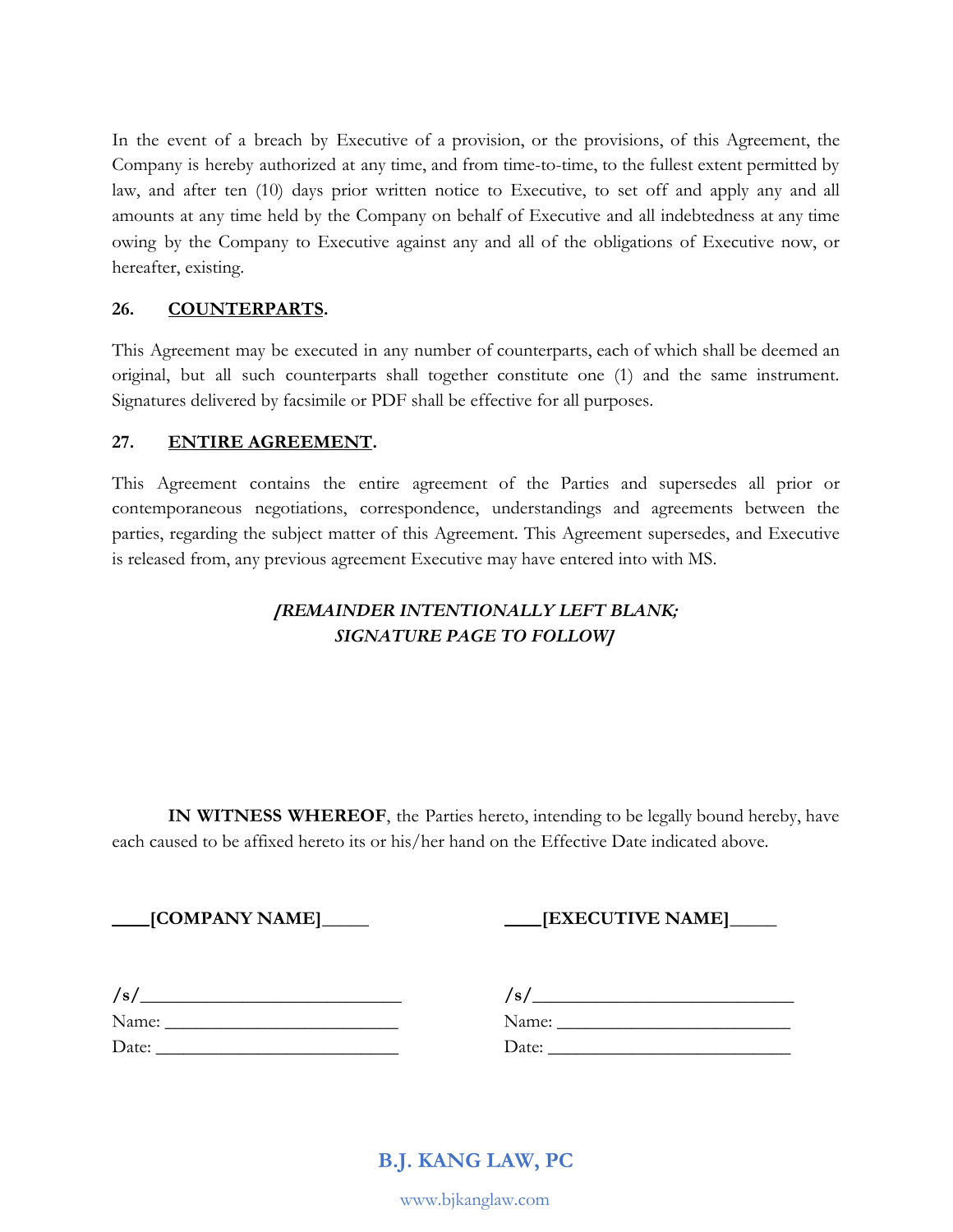In the event of a breach by Executive of a provision, or the provisions, of this Agreement, the Company is hereby authorized at any time, and from time-to-time, to the fullest extent permitted by law, and after ten (10) days prior written notice to Executive, to set off and apply any and all amounts at any time held by the Company on behalf of Executive and all indebtedness at any time owing by the Company to Executive against any and all of the obligations of Executive now, or hereafter, existing.

### **26. COUNTERPARTS.**

This Agreement may be executed in any number of counterparts, each of which shall be deemed an original, but all such counterparts shall together constitute one (1) and the same instrument. Signatures delivered by facsimile or PDF shall be effective for all purposes.

#### **27. ENTIRE AGREEMENT.**

This Agreement contains the entire agreement of the Parties and supersedes all prior or contemporaneous negotiations, correspondence, understandings and agreements between the parties, regarding the subject matter of this Agreement. This Agreement supersedes, and Executive is released from, any previous agreement Executive may have entered into with MS.

## *[REMAINDER INTENTIONALLY LEFT BLANK; SIGNATURE PAGE TO FOLLOW]*

**IN WITNESS WHEREOF**, the Parties hereto, intending to be legally bound hereby, have each caused to be affixed hereto its or his/her hand on the Effective Date indicated above.

| $\sqrt{\text{COMPANY NAME}}$                                                                       | [EXECUTIVE NAME] |
|----------------------------------------------------------------------------------------------------|------------------|
| /s <sub>l</sub>                                                                                    | 's/              |
|                                                                                                    |                  |
| Date:<br>the control of the control of the control of the control of the control of the control of |                  |

# **B.J. KANG LAW, PC**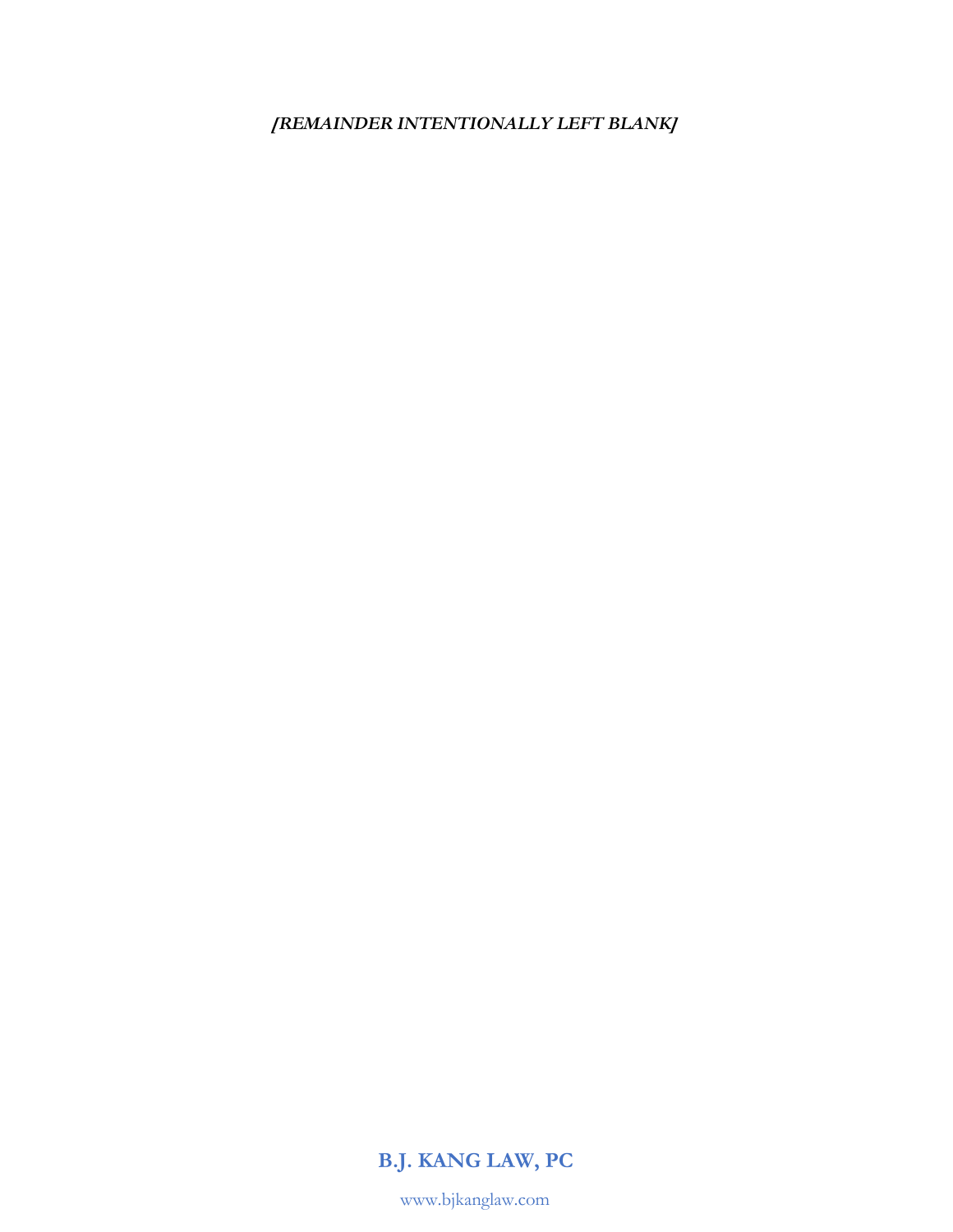# *[REMAINDER INTENTIONALLY LEFT BLANK]*

**B.J. KANG LAW, PC**